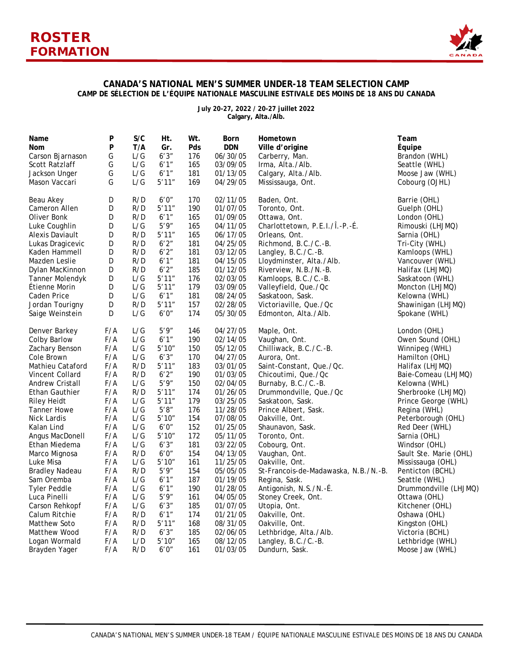

## **CANADA'S NATIONAL MEN'S SUMMER UNDER-18 TEAM SELECTION CAMP CAMP DE SÉLECTION DE L'ÉQUIPE NATIONALE MASCULINE ESTIVALE DES MOINS DE 18 ANS DU CANADA**

**July 20-27, 2022 / 20-27 juillet 2022 Calgary, Alta./Alb.**

| Name                   | P   | S/C | Ht.    | Wt. | Born       | Hometown                             | Team                   |
|------------------------|-----|-----|--------|-----|------------|--------------------------------------|------------------------|
| Nom                    | P   | T/A | Gr.    | Pds | <b>DDN</b> | Ville d'origine                      | Équipe                 |
| Carson Bjarnason       | G   | L/G | 6'3''  | 176 | 06/30/05   | Carberry, Man.                       | Brandon (WHL)          |
| Scott Ratzlaff         | G   | L/G | 6'1''  | 165 | 03/09/05   | Irma, Alta./Alb.                     | Seattle (WHL)          |
| Jackson Unger          | G   | L/G | 6'1''  | 181 | 01/13/05   | Calgary, Alta./Alb.                  | Moose Jaw (WHL)        |
| Mason Vaccari          | G   | L/G | 5'11'' | 169 | 04/29/05   | Mississauga, Ont.                    | Cobourg (OJHL)         |
| Beau Akey              | D   | R/D | 6'0''  | 170 | 02/11/05   | Baden, Ont.                          | Barrie (OHL)           |
| Cameron Allen          | D   | R/D | 5'11'' | 190 | 01/07/05   | Toronto, Ont.                        | Guelph (OHL)           |
| Oliver Bonk            | D   | R/D | 6'1''  | 165 | 01/09/05   | Ottawa, Ont.                         | London (OHL)           |
| Luke Coughlin          | D   | L/G | 5'9''  | 165 | 04/11/05   | Charlottetown, P.E.I./Î.-P.-É.       | Rimouski (LHJMQ)       |
| Alexis Daviault        | D   | R/D | 5'11'' | 165 | 06/17/05   | Orleans, Ont.                        | Sarnia (OHL)           |
| Lukas Dragicevic       | D   | R/D | 6'2''  | 181 | 04/25/05   | Richmond, B.C./C.-B.                 | Tri-City (WHL)         |
| Kaden Hammell          | D   | R/D | 6'2''  | 181 | 03/12/05   | Langley, B.C./C.-B.                  | Kamloops (WHL)         |
| Mazden Leslie          | D   | R/D | 6'1''  | 181 | 04/15/05   | Lloydminster, Alta./Alb.             | Vancouver (WHL)        |
| Dylan MacKinnon        | D   | R/D | 6'2''  | 185 | 01/12/05   | Riverview, N.B./N.-B.                | Halifax (LHJMQ)        |
| Tanner Molendyk        | D   | L/G | 5'11'' | 176 | 02/03/05   | Kamloops, B.C./C.-B.                 | Saskatoon (WHL)        |
| Étienne Morin          | D   | L/G | 5'11'' | 179 | 03/09/05   | Valleyfield, Que./Qc                 | Moncton (LHJMQ)        |
| Caden Price            | D   | L/G | 6'1''  | 181 | 08/24/05   | Saskatoon, Sask.                     | Kelowna (WHL)          |
| Jordan Tourigny        | D   | R/D | 5'11'' | 157 | 02/28/05   | Victoriaville, Que./Qc               | Shawinigan (LHJMQ)     |
| Saige Weinstein        | D   | L/G | 6'0''  | 174 | 05/30/05   | Edmonton, Alta./Alb.                 | Spokane (WHL)          |
| Denver Barkey          | F/A | L/G | 5'9''  | 146 | 04/27/05   | Maple, Ont.                          | London (OHL)           |
| Colby Barlow           | F/A | L/G | 6'1''  | 190 | 02/14/05   | Vaughan, Ont.                        | Owen Sound (OHL)       |
| Zachary Benson         | F/A | L/G | 5'10'' | 150 | 05/12/05   | Chilliwack, B.C./C.-B.               | Winnipeg (WHL)         |
| Cole Brown             | F/A | L/G | 6'3''  | 170 | 04/27/05   | Aurora, Ont.                         | Hamilton (OHL)         |
| Mathieu Cataford       | F/A | R/D | 5'11'' | 183 | 03/01/05   | Saint-Constant, Que./Qc.             | Halifax (LHJMQ)        |
| Vincent Collard        | F/A | R/D | 6'2''  | 190 | 01/03/05   | Chicoutimi, Que./Qc                  | Baie-Comeau (LHJMQ)    |
| <b>Andrew Cristall</b> | F/A | L/G | 5'9''  | 150 | 02/04/05   | Burnaby, B.C./C.-B.                  | Kelowna (WHL)          |
| <b>Ethan Gauthier</b>  | F/A | R/D | 5'11'' | 174 | 01/26/05   | Drummondville, Que./Qc               | Sherbrooke (LHJMQ)     |
| <b>Riley Heidt</b>     | F/A | L/G | 5'11'' | 179 | 03/25/05   | Saskatoon, Sask.                     | Prince George (WHL)    |
| <b>Tanner Howe</b>     | F/A | L/G | 5'8''  | 176 | 11/28/05   | Prince Albert, Sask.                 | Regina (WHL)           |
| <b>Nick Lardis</b>     | F/A | L/G | 5'10'' | 154 | 07/08/05   | Oakville, Ont.                       | Peterborough (OHL)     |
| Kalan Lind             | F/A | L/G | 6'0''  | 152 | 01/25/05   | Shaunavon, Sask.                     | Red Deer (WHL)         |
| Angus MacDonell        | F/A | L/G | 5'10'' | 172 | 05/11/05   | Toronto, Ont.                        | Sarnia (OHL)           |
| Ethan Miedema          | F/A | L/G | 6'3''  | 181 | 03/22/05   | Cobourg, Ont.                        | Windsor (OHL)          |
| Marco Mignosa          | F/A | R/D | 6'0''  | 154 | 04/13/05   | Vaughan, Ont.                        | Sault Ste. Marie (OHL) |
| Luke Misa              | F/A | L/G | 5'10'' | 161 | 11/25/05   | Oakville, Ont.                       | Mississauga (OHL)      |
| <b>Bradley Nadeau</b>  | F/A | R/D | 5'9''  | 154 | 05/05/05   | St-Francois-de-Madawaska, N.B./N.-B. | Penticton (BCHL)       |
| Sam Oremba             | F/A | L/G | 6'1''  | 187 | 01/19/05   | Regina, Sask.                        | Seattle (WHL)          |
| <b>Tyler Peddle</b>    | F/A | L/G | 6'1''  | 190 | 01/28/05   | Antigonish, N.S./N.-É.               | Drummondville (LHJMQ)  |
| Luca Pinelli           | F/A | L/G | 5'9''  | 161 | 04/05/05   | Stoney Creek, Ont.                   | Ottawa (OHL)           |
| Carson Rehkopf         | F/A | L/G | 6'3''  | 185 | 01/07/05   | Utopia, Ont.                         | Kitchener (OHL)        |
| Calum Ritchie          | F/A | R/D | 6'1''  | 174 | 01/21/05   | Oakville, Ont.                       | Oshawa (OHL)           |
| Matthew Soto           | F/A | R/D | 5'11'' | 168 | 08/31/05   | Oakville, Ont.                       | Kingston (OHL)         |
| Matthew Wood           | F/A | R/D | 6'3''  | 185 | 02/06/05   | Lethbridge, Alta./Alb.               | Victoria (BCHL)        |
| Logan Wormald          | F/A | L/D | 5'10'' | 165 | 08/12/05   | Langley, B.C./C.-B.                  | Lethbridge (WHL)       |
| Brayden Yager          | F/A | R/D | 6'0''  | 161 | 01/03/05   | Dundurn, Sask.                       | Moose Jaw (WHL)        |